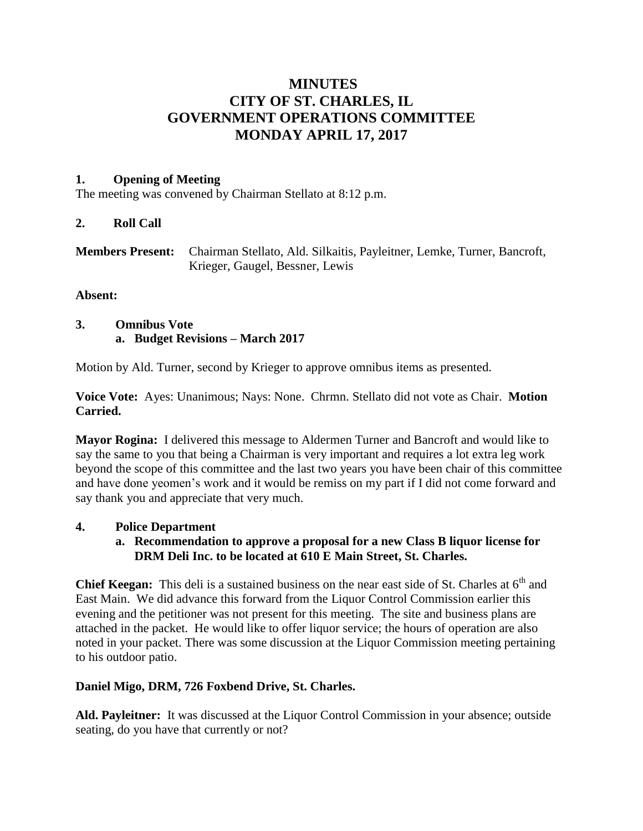# **MINUTES CITY OF ST. CHARLES, IL GOVERNMENT OPERATIONS COMMITTEE MONDAY APRIL 17, 2017**

## **1. Opening of Meeting**

The meeting was convened by Chairman Stellato at 8:12 p.m.

## **2. Roll Call**

| <b>Members Present:</b> Chairman Stellato, Ald. Silkaitis, Payleitner, Lemke, Turner, Bancroft, |
|-------------------------------------------------------------------------------------------------|
| Krieger, Gaugel, Bessner, Lewis                                                                 |

## **Absent:**

## **3. Omnibus Vote a. Budget Revisions – March 2017**

Motion by Ald. Turner, second by Krieger to approve omnibus items as presented.

**Voice Vote:** Ayes: Unanimous; Nays: None. Chrmn. Stellato did not vote as Chair. **Motion Carried.**

**Mayor Rogina:** I delivered this message to Aldermen Turner and Bancroft and would like to say the same to you that being a Chairman is very important and requires a lot extra leg work beyond the scope of this committee and the last two years you have been chair of this committee and have done yeomen's work and it would be remiss on my part if I did not come forward and say thank you and appreciate that very much.

## **4. Police Department**

**a. Recommendation to approve a proposal for a new Class B liquor license for DRM Deli Inc. to be located at 610 E Main Street, St. Charles.**

**Chief Keegan:** This deli is a sustained business on the near east side of St. Charles at 6<sup>th</sup> and East Main. We did advance this forward from the Liquor Control Commission earlier this evening and the petitioner was not present for this meeting. The site and business plans are attached in the packet. He would like to offer liquor service; the hours of operation are also noted in your packet. There was some discussion at the Liquor Commission meeting pertaining to his outdoor patio.

## **Daniel Migo, DRM, 726 Foxbend Drive, St. Charles.**

**Ald. Payleitner:** It was discussed at the Liquor Control Commission in your absence; outside seating, do you have that currently or not?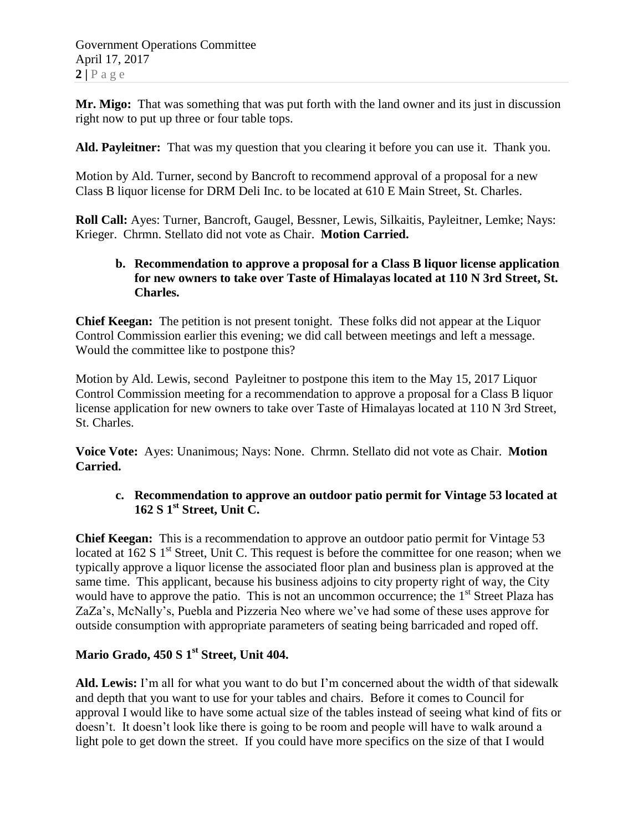Government Operations Committee April 17, 2017  $2 | P \text{ a } g \text{ e}$ 

**Mr. Migo:** That was something that was put forth with the land owner and its just in discussion right now to put up three or four table tops.

**Ald. Payleitner:** That was my question that you clearing it before you can use it. Thank you.

Motion by Ald. Turner, second by Bancroft to recommend approval of a proposal for a new Class B liquor license for DRM Deli Inc. to be located at 610 E Main Street, St. Charles.

**Roll Call:** Ayes: Turner, Bancroft, Gaugel, Bessner, Lewis, Silkaitis, Payleitner, Lemke; Nays: Krieger. Chrmn. Stellato did not vote as Chair. **Motion Carried.**

## **b. Recommendation to approve a proposal for a Class B liquor license application for new owners to take over Taste of Himalayas located at 110 N 3rd Street, St. Charles.**

**Chief Keegan:** The petition is not present tonight. These folks did not appear at the Liquor Control Commission earlier this evening; we did call between meetings and left a message. Would the committee like to postpone this?

Motion by Ald. Lewis, second Payleitner to postpone this item to the May 15, 2017 Liquor Control Commission meeting for a recommendation to approve a proposal for a Class B liquor license application for new owners to take over Taste of Himalayas located at 110 N 3rd Street, St. Charles.

**Voice Vote:** Ayes: Unanimous; Nays: None. Chrmn. Stellato did not vote as Chair. **Motion Carried.**

## **c. Recommendation to approve an outdoor patio permit for Vintage 53 located at 162 S 1st Street, Unit C.**

**Chief Keegan:** This is a recommendation to approve an outdoor patio permit for Vintage 53 located at  $162 S 1<sup>st</sup>$  Street, Unit C. This request is before the committee for one reason; when we typically approve a liquor license the associated floor plan and business plan is approved at the same time. This applicant, because his business adjoins to city property right of way, the City would have to approve the patio. This is not an uncommon occurrence; the  $1<sup>st</sup>$  Street Plaza has ZaZa's, McNally's, Puebla and Pizzeria Neo where we've had some of these uses approve for outside consumption with appropriate parameters of seating being barricaded and roped off.

# **Mario Grado, 450 S 1st Street, Unit 404.**

**Ald. Lewis:** I'm all for what you want to do but I'm concerned about the width of that sidewalk and depth that you want to use for your tables and chairs. Before it comes to Council for approval I would like to have some actual size of the tables instead of seeing what kind of fits or doesn't. It doesn't look like there is going to be room and people will have to walk around a light pole to get down the street. If you could have more specifics on the size of that I would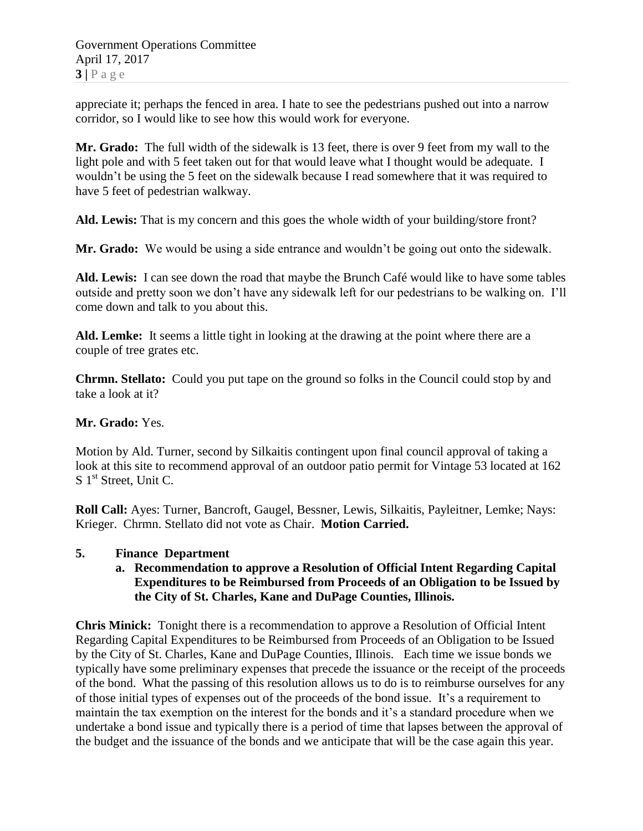Government Operations Committee April 17, 2017  $3 | P \text{ a ge}$ 

appreciate it; perhaps the fenced in area. I hate to see the pedestrians pushed out into a narrow corridor, so I would like to see how this would work for everyone.

**Mr. Grado:** The full width of the sidewalk is 13 feet, there is over 9 feet from my wall to the light pole and with 5 feet taken out for that would leave what I thought would be adequate. I wouldn't be using the 5 feet on the sidewalk because I read somewhere that it was required to have 5 feet of pedestrian walkway.

**Ald. Lewis:** That is my concern and this goes the whole width of your building/store front?

**Mr. Grado:** We would be using a side entrance and wouldn't be going out onto the sidewalk.

**Ald. Lewis:** I can see down the road that maybe the Brunch Café would like to have some tables outside and pretty soon we don't have any sidewalk left for our pedestrians to be walking on. I'll come down and talk to you about this.

**Ald. Lemke:** It seems a little tight in looking at the drawing at the point where there are a couple of tree grates etc.

**Chrmn. Stellato:** Could you put tape on the ground so folks in the Council could stop by and take a look at it?

#### **Mr. Grado:** Yes.

Motion by Ald. Turner, second by Silkaitis contingent upon final council approval of taking a look at this site to recommend approval of an outdoor patio permit for Vintage 53 located at 162 S 1<sup>st</sup> Street, Unit C.

**Roll Call:** Ayes: Turner, Bancroft, Gaugel, Bessner, Lewis, Silkaitis, Payleitner, Lemke; Nays: Krieger. Chrmn. Stellato did not vote as Chair. **Motion Carried.**

#### **5. Finance Department**

### **a. Recommendation to approve a Resolution of Official Intent Regarding Capital Expenditures to be Reimbursed from Proceeds of an Obligation to be Issued by the City of St. Charles, Kane and DuPage Counties, Illinois.**

**Chris Minick:** Tonight there is a recommendation to approve a Resolution of Official Intent Regarding Capital Expenditures to be Reimbursed from Proceeds of an Obligation to be Issued by the City of St. Charles, Kane and DuPage Counties, Illinois. Each time we issue bonds we typically have some preliminary expenses that precede the issuance or the receipt of the proceeds of the bond. What the passing of this resolution allows us to do is to reimburse ourselves for any of those initial types of expenses out of the proceeds of the bond issue. It's a requirement to maintain the tax exemption on the interest for the bonds and it's a standard procedure when we undertake a bond issue and typically there is a period of time that lapses between the approval of the budget and the issuance of the bonds and we anticipate that will be the case again this year.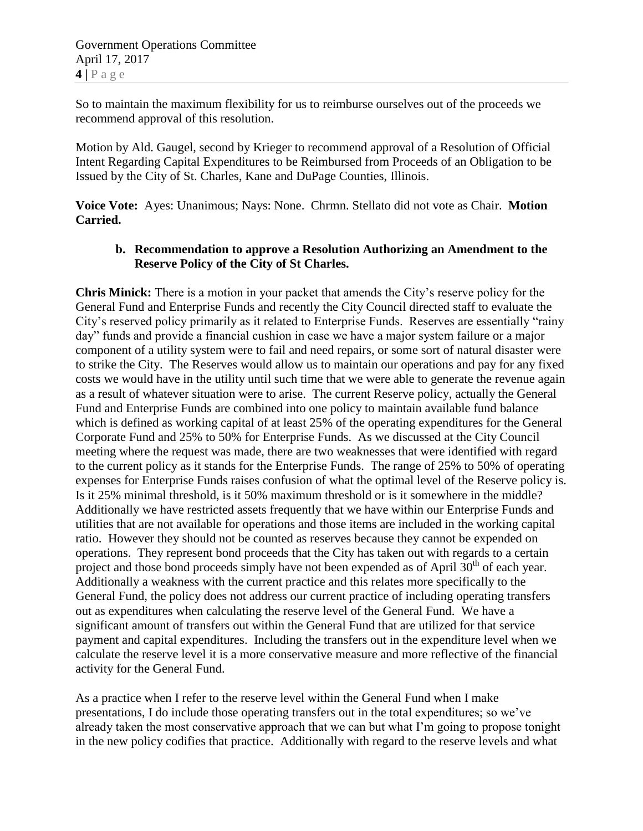So to maintain the maximum flexibility for us to reimburse ourselves out of the proceeds we recommend approval of this resolution.

Motion by Ald. Gaugel, second by Krieger to recommend approval of a Resolution of Official Intent Regarding Capital Expenditures to be Reimbursed from Proceeds of an Obligation to be Issued by the City of St. Charles, Kane and DuPage Counties, Illinois.

**Voice Vote:** Ayes: Unanimous; Nays: None. Chrmn. Stellato did not vote as Chair. **Motion Carried.**

## **b. Recommendation to approve a Resolution Authorizing an Amendment to the Reserve Policy of the City of St Charles.**

**Chris Minick:** There is a motion in your packet that amends the City's reserve policy for the General Fund and Enterprise Funds and recently the City Council directed staff to evaluate the City's reserved policy primarily as it related to Enterprise Funds. Reserves are essentially "rainy day" funds and provide a financial cushion in case we have a major system failure or a major component of a utility system were to fail and need repairs, or some sort of natural disaster were to strike the City. The Reserves would allow us to maintain our operations and pay for any fixed costs we would have in the utility until such time that we were able to generate the revenue again as a result of whatever situation were to arise. The current Reserve policy, actually the General Fund and Enterprise Funds are combined into one policy to maintain available fund balance which is defined as working capital of at least 25% of the operating expenditures for the General Corporate Fund and 25% to 50% for Enterprise Funds. As we discussed at the City Council meeting where the request was made, there are two weaknesses that were identified with regard to the current policy as it stands for the Enterprise Funds. The range of 25% to 50% of operating expenses for Enterprise Funds raises confusion of what the optimal level of the Reserve policy is. Is it 25% minimal threshold, is it 50% maximum threshold or is it somewhere in the middle? Additionally we have restricted assets frequently that we have within our Enterprise Funds and utilities that are not available for operations and those items are included in the working capital ratio. However they should not be counted as reserves because they cannot be expended on operations. They represent bond proceeds that the City has taken out with regards to a certain project and those bond proceeds simply have not been expended as of April  $30<sup>th</sup>$  of each year. Additionally a weakness with the current practice and this relates more specifically to the General Fund, the policy does not address our current practice of including operating transfers out as expenditures when calculating the reserve level of the General Fund. We have a significant amount of transfers out within the General Fund that are utilized for that service payment and capital expenditures. Including the transfers out in the expenditure level when we calculate the reserve level it is a more conservative measure and more reflective of the financial activity for the General Fund.

As a practice when I refer to the reserve level within the General Fund when I make presentations, I do include those operating transfers out in the total expenditures; so we've already taken the most conservative approach that we can but what I'm going to propose tonight in the new policy codifies that practice. Additionally with regard to the reserve levels and what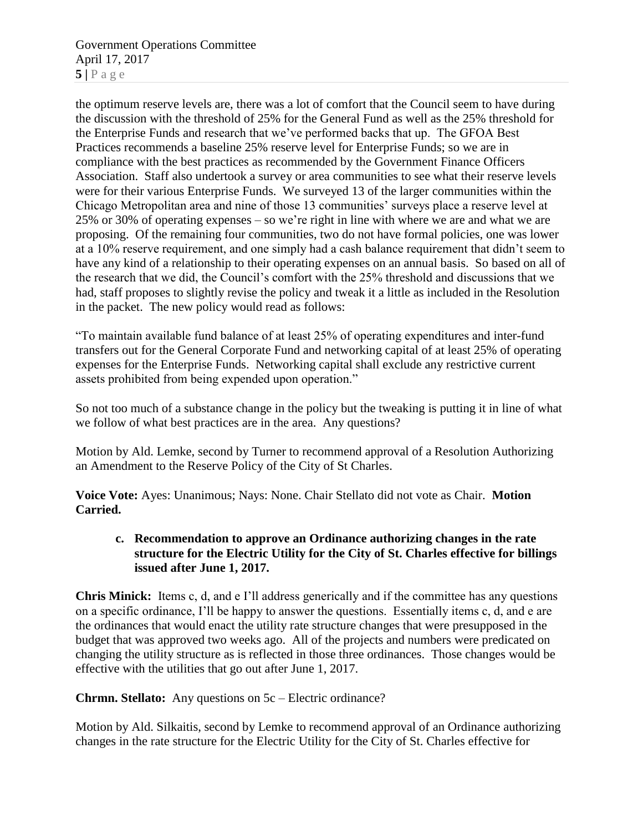Government Operations Committee April 17, 2017  $5|$   $P$  a g e

the optimum reserve levels are, there was a lot of comfort that the Council seem to have during the discussion with the threshold of 25% for the General Fund as well as the 25% threshold for the Enterprise Funds and research that we've performed backs that up. The GFOA Best Practices recommends a baseline 25% reserve level for Enterprise Funds; so we are in compliance with the best practices as recommended by the Government Finance Officers Association. Staff also undertook a survey or area communities to see what their reserve levels were for their various Enterprise Funds. We surveyed 13 of the larger communities within the Chicago Metropolitan area and nine of those 13 communities' surveys place a reserve level at 25% or 30% of operating expenses – so we're right in line with where we are and what we are proposing. Of the remaining four communities, two do not have formal policies, one was lower at a 10% reserve requirement, and one simply had a cash balance requirement that didn't seem to have any kind of a relationship to their operating expenses on an annual basis. So based on all of the research that we did, the Council's comfort with the 25% threshold and discussions that we had, staff proposes to slightly revise the policy and tweak it a little as included in the Resolution in the packet. The new policy would read as follows:

"To maintain available fund balance of at least 25% of operating expenditures and inter-fund transfers out for the General Corporate Fund and networking capital of at least 25% of operating expenses for the Enterprise Funds. Networking capital shall exclude any restrictive current assets prohibited from being expended upon operation."

So not too much of a substance change in the policy but the tweaking is putting it in line of what we follow of what best practices are in the area. Any questions?

Motion by Ald. Lemke, second by Turner to recommend approval of a Resolution Authorizing an Amendment to the Reserve Policy of the City of St Charles.

**Voice Vote:** Ayes: Unanimous; Nays: None. Chair Stellato did not vote as Chair. **Motion Carried.**

## **c. Recommendation to approve an Ordinance authorizing changes in the rate structure for the Electric Utility for the City of St. Charles effective for billings issued after June 1, 2017.**

**Chris Minick:** Items c, d, and e I'll address generically and if the committee has any questions on a specific ordinance, I'll be happy to answer the questions. Essentially items c, d, and e are the ordinances that would enact the utility rate structure changes that were presupposed in the budget that was approved two weeks ago. All of the projects and numbers were predicated on changing the utility structure as is reflected in those three ordinances. Those changes would be effective with the utilities that go out after June 1, 2017.

**Chrmn. Stellato:** Any questions on 5c – Electric ordinance?

Motion by Ald. Silkaitis, second by Lemke to recommend approval of an Ordinance authorizing changes in the rate structure for the Electric Utility for the City of St. Charles effective for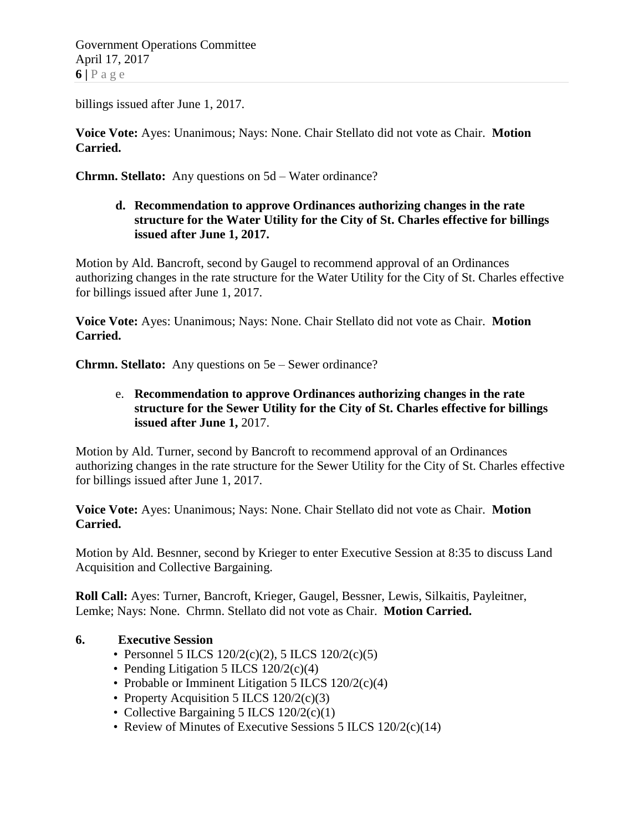Government Operations Committee April 17, 2017  $6|P$  a g e

billings issued after June 1, 2017.

**Voice Vote:** Ayes: Unanimous; Nays: None. Chair Stellato did not vote as Chair. **Motion Carried.**

**Chrmn. Stellato:** Any questions on 5d – Water ordinance?

## **d. Recommendation to approve Ordinances authorizing changes in the rate structure for the Water Utility for the City of St. Charles effective for billings issued after June 1, 2017.**

Motion by Ald. Bancroft, second by Gaugel to recommend approval of an Ordinances authorizing changes in the rate structure for the Water Utility for the City of St. Charles effective for billings issued after June 1, 2017.

**Voice Vote:** Ayes: Unanimous; Nays: None. Chair Stellato did not vote as Chair. **Motion Carried.**

**Chrmn. Stellato:** Any questions on 5e – Sewer ordinance?

## e. **Recommendation to approve Ordinances authorizing changes in the rate structure for the Sewer Utility for the City of St. Charles effective for billings issued after June 1,** 2017.

Motion by Ald. Turner, second by Bancroft to recommend approval of an Ordinances authorizing changes in the rate structure for the Sewer Utility for the City of St. Charles effective for billings issued after June 1, 2017.

**Voice Vote:** Ayes: Unanimous; Nays: None. Chair Stellato did not vote as Chair. **Motion Carried.**

Motion by Ald. Besnner, second by Krieger to enter Executive Session at 8:35 to discuss Land Acquisition and Collective Bargaining.

**Roll Call:** Ayes: Turner, Bancroft, Krieger, Gaugel, Bessner, Lewis, Silkaitis, Payleitner, Lemke; Nays: None. Chrmn. Stellato did not vote as Chair. **Motion Carried.**

## **6. Executive Session**

- Personnel 5 ILCS  $120/2(c)(2)$ , 5 ILCS  $120/2(c)(5)$
- Pending Litigation 5 ILCS 120/2(c)(4)
- Probable or Imminent Litigation 5 ILCS 120/2(c)(4)
- Property Acquisition 5 ILCS 120/2(c)(3)
- Collective Bargaining 5 ILCS 120/2(c)(1)
- Review of Minutes of Executive Sessions 5 ILCS 120/2(c)(14)